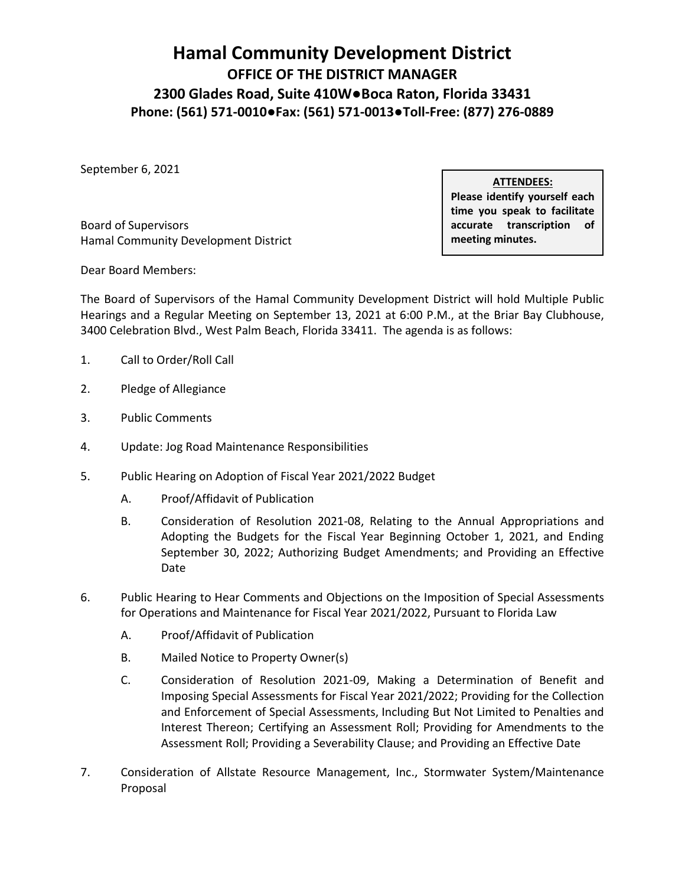## **Hamal Community Development District OFFICE OF THE DISTRICT MANAGER 2300 Glades Road, Suite 410W●Boca Raton, Florida 33431 Phone: (561) 571-0010●Fax: (561) 571-0013●Toll-Free: (877) 276-0889**

September 6, 2021

**Board of Supervisors** Hamal Community Development District **meeting minutes. meeting minutes.** 

 **Please identify yourself each time you speak to facilitate ATTENDEES:**  accurate transcription of

Dear Board Members:

 Hearings and a Regular Meeting on September 13, 2021 at 6:00 P.M., at the Briar Bay Clubhouse, 3400 Celebration Blvd., West Palm Beach, Florida 33411. The agenda is as follows: The Board of Supervisors of the Hamal Community Development District will hold Multiple Public

- 1. Call to Order/Roll Call
- 2. Pledge of Allegiance
- 3. Public Comments
- 4. Update: Jog Road Maintenance Responsibilities
- 5. Public Hearing on Adoption of Fiscal Year 2021/2022 Budget
	- A. Proof/Affidavit of Publication
	- B. Consideration of Resolution 2021-08, Relating to the Annual Appropriations and September 30, 2022; Authorizing Budget Amendments; and Providing an Effective Adopting the Budgets for the Fiscal Year Beginning October 1, 2021, and Ending Date
- 6. Public Hearing to Hear Comments and Objections on the Imposition of Special Assessments for Operations and Maintenance for Fiscal Year 2021/2022, Pursuant to Florida Law
	- A. Proof/Affidavit of Publication
	- B. Mailed Notice to Property Owner(s)
	- C. Consideration of Resolution 2021-09, Making a Determination of Benefit and Imposing Special Assessments for Fiscal Year 2021/2022; Providing for the Collection and Enforcement of Special Assessments, Including But Not Limited to Penalties and Interest Thereon; Certifying an Assessment Roll; Providing for Amendments to the Assessment Roll; Providing a Severability Clause; and Providing an Effective Date
- 7. Consideration of Allstate Resource Management, Inc., Stormwater System/Maintenance Proposal